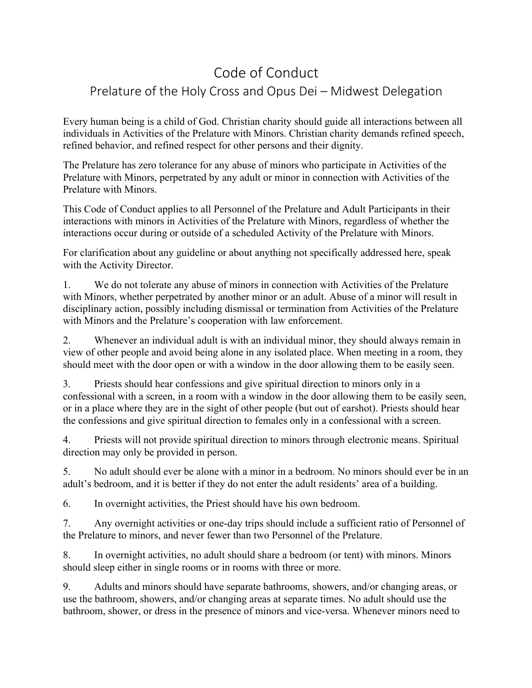## Code of Conduct

## Prelature of the Holy Cross and Opus Dei – Midwest Delegation

Every human being is a child of God. Christian charity should guide all interactions between all individuals in Activities of the Prelature with Minors. Christian charity demands refined speech, refined behavior, and refined respect for other persons and their dignity.

The Prelature has zero tolerance for any abuse of minors who participate in Activities of the Prelature with Minors, perpetrated by any adult or minor in connection with Activities of the Prelature with Minors.

This Code of Conduct applies to all Personnel of the Prelature and Adult Participants in their interactions with minors in Activities of the Prelature with Minors, regardless of whether the interactions occur during or outside of a scheduled Activity of the Prelature with Minors.

For clarification about any guideline or about anything not specifically addressed here, speak with the Activity Director.

1. We do not tolerate any abuse of minors in connection with Activities of the Prelature with Minors, whether perpetrated by another minor or an adult. Abuse of a minor will result in disciplinary action, possibly including dismissal or termination from Activities of the Prelature with Minors and the Prelature's cooperation with law enforcement.

2. Whenever an individual adult is with an individual minor, they should always remain in view of other people and avoid being alone in any isolated place. When meeting in a room, they should meet with the door open or with a window in the door allowing them to be easily seen.

3. Priests should hear confessions and give spiritual direction to minors only in a confessional with a screen, in a room with a window in the door allowing them to be easily seen, or in a place where they are in the sight of other people (but out of earshot). Priests should hear the confessions and give spiritual direction to females only in a confessional with a screen.

4. Priests will not provide spiritual direction to minors through electronic means. Spiritual direction may only be provided in person.

5. No adult should ever be alone with a minor in a bedroom. No minors should ever be in an adult's bedroom, and it is better if they do not enter the adult residents' area of a building.

6. In overnight activities, the Priest should have his own bedroom.

7. Any overnight activities or one-day trips should include a sufficient ratio of Personnel of the Prelature to minors, and never fewer than two Personnel of the Prelature.

8. In overnight activities, no adult should share a bedroom (or tent) with minors. Minors should sleep either in single rooms or in rooms with three or more.

9. Adults and minors should have separate bathrooms, showers, and/or changing areas, or use the bathroom, showers, and/or changing areas at separate times. No adult should use the bathroom, shower, or dress in the presence of minors and vice-versa. Whenever minors need to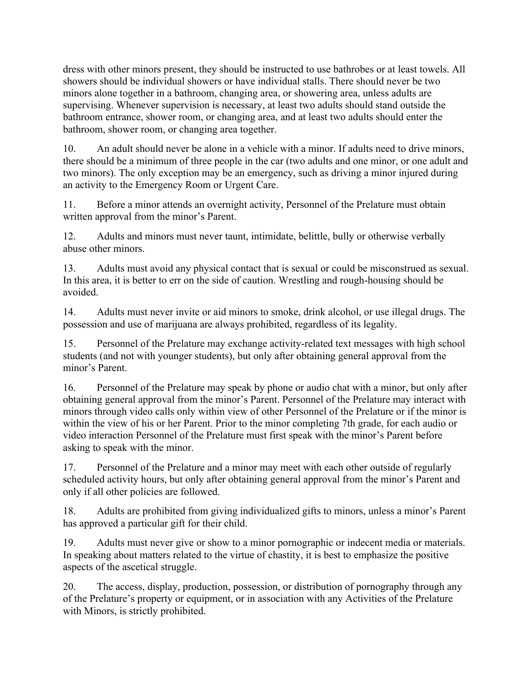dress with other minors present, they should be instructed to use bathrobes or at least towels. All showers should be individual showers or have individual stalls. There should never be two minors alone together in a bathroom, changing area, or showering area, unless adults are supervising. Whenever supervision is necessary, at least two adults should stand outside the bathroom entrance, shower room, or changing area, and at least two adults should enter the bathroom, shower room, or changing area together.

10. An adult should never be alone in a vehicle with a minor. If adults need to drive minors, there should be a minimum of three people in the car (two adults and one minor, or one adult and two minors). The only exception may be an emergency, such as driving a minor injured during an activity to the Emergency Room or Urgent Care.

11. Before a minor attends an overnight activity, Personnel of the Prelature must obtain written approval from the minor's Parent.

12. Adults and minors must never taunt, intimidate, belittle, bully or otherwise verbally abuse other minors.

13. Adults must avoid any physical contact that is sexual or could be misconstrued as sexual. In this area, it is better to err on the side of caution. Wrestling and rough-housing should be avoided.

14. Adults must never invite or aid minors to smoke, drink alcohol, or use illegal drugs. The possession and use of marijuana are always prohibited, regardless of its legality.

15. Personnel of the Prelature may exchange activity-related text messages with high school students (and not with younger students), but only after obtaining general approval from the minor's Parent.

16. Personnel of the Prelature may speak by phone or audio chat with a minor, but only after obtaining general approval from the minor's Parent. Personnel of the Prelature may interact with minors through video calls only within view of other Personnel of the Prelature or if the minor is within the view of his or her Parent. Prior to the minor completing 7th grade, for each audio or video interaction Personnel of the Prelature must first speak with the minor's Parent before asking to speak with the minor.

17. Personnel of the Prelature and a minor may meet with each other outside of regularly scheduled activity hours, but only after obtaining general approval from the minor's Parent and only if all other policies are followed.

18. Adults are prohibited from giving individualized gifts to minors, unless a minor's Parent has approved a particular gift for their child.

19. Adults must never give or show to a minor pornographic or indecent media or materials. In speaking about matters related to the virtue of chastity, it is best to emphasize the positive aspects of the ascetical struggle.

20. The access, display, production, possession, or distribution of pornography through any of the Prelature's property or equipment, or in association with any Activities of the Prelature with Minors, is strictly prohibited.